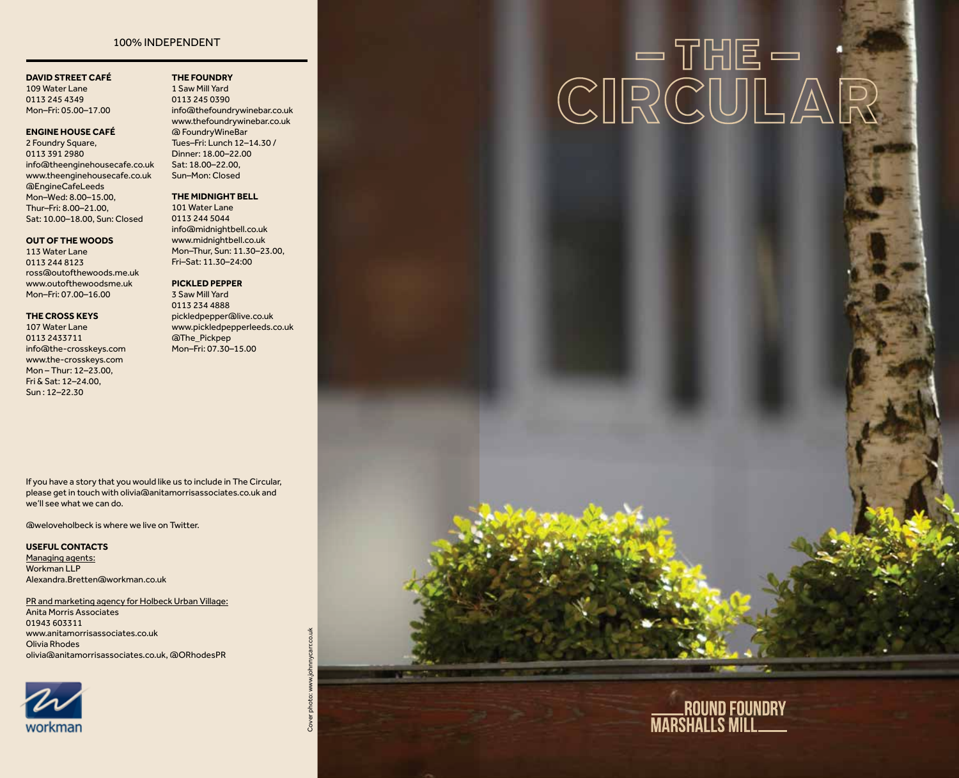### 100% INDEPENDENT

### **DAVID STREET CAFÉ**

109 Water Lane 0113 245 4349 Mon–Fri: 05.00–17.00

### **ENGINE HOUSE CAFÉ**

2 Foundry Square, 0113 391 2980 info@theenginehousecafe.co.uk www.theenginehousecafe.co.uk @EngineCafeLeeds Mon–Wed: 8.00–15.00, Thur–Fri: 8.00–21.00, Sat: 10.00–18.00, Sun: Closed

### **OUT OF THE WOODS**

113 Water Lane 0113 244 8123 ross@outofthewoods.me.uk www.outofthewoodsme.uk Mon–Fri: 07.00–16.00

### **THE CROSS KEYS**

107 Water Lane 0113 2433711 info@the-crosskeys.com www.the-crosskeys.com Mon – Thur: 12–23.00, Fri & Sat: 12–24.00, Sun : 12–22.30

1 Saw Mill Yard 0113 245 0390 info@thefoundrywinebar.co.uk www.thefoundrywinebar.co.uk @ FoundryWineBar Tues–Fri: Lunch 12–14.30 / Dinner: 18.00–22.00 Sat: 18.00–22.00, Sun–Mon: Closed

**THE FOUNDRY** 

### **THE MIDNIGHT BELL**

101 Water Lane 0113 244 5044 info@midnightbell.co.uk www.midnightbell.co.uk Mon–Thur, Sun: 11.30–23.00, Fri–Sat: 11.30–24:00

### **PICKLED PEPPER**

3 Saw Mill Yard 0113 234 4888 pickledpepper@live.co.uk www.pickledpepperleeds.co.uk @The\_Pickpep Mon–Fri: 07.30–15.00

If you have a story that you would like us to include in The Circular, we'll see what we can do.

@weloveholbeck is where we live on Twitter.

#### **USEFUL CONTACTS**

Managing agents: Workman LLP Alexandra.Bretten@workman.co.uk

PR and marketing agency for Holbeck Urban Village: Anita Morris Associates 01943 603311 www.anitamorrisassociates.co.uk Olivia Rhodes olivia@anitamorrisassociates.co.uk, @ORhodesPR



# $\text{CIRCULA} \overset{\text{\normalsize{N}}}{\otimes} \text{CUI} \overset{\text{\normalsize{N}}}{\otimes} \text{CUI} \overset{\text{\normalsize{N}}}{\otimes} \text{CUI} \overset{\text{\normalsize{N}}}{\otimes} \text{CUI} \overset{\text{\normalsize{N}}}{\otimes} \text{CUI} \overset{\text{\normalsize{N}}}{\otimes} \text{CUI} \overset{\text{\normalsize{N}}}{\otimes} \text{CUI} \overset{\text{\normalsize{N}}}{\otimes} \text{CUI} \overset{\text{\normalsize{N}}}{\otimes} \text{CUI} \overset{\text$

### please get in touch with olivia@anitamorrisassociates.co.uk and

Cover photo: www.johnnycarr.co.uk photo:

Cover

ROUND FOUNDRY<br>MARSHALLS MILL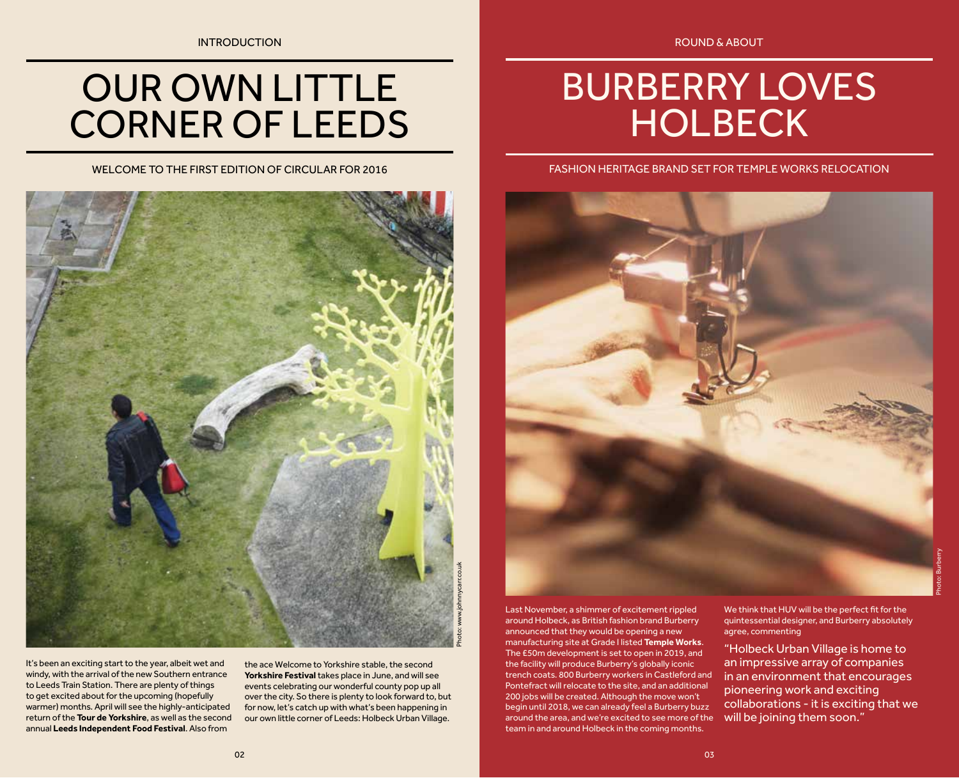### OUR OWN LITTLE CORNER OF LEEDS

WELCOME TO THE FIRST EDITION OF CIRCULAR FOR 2016



It's been an exciting start to the year, albeit wet and windy, with the arrival of the new Southern entrance to Leeds Train Station. There are plenty of things to get excited about for the upcoming (hopefully warmer) months. April will see the highly-anticipated return of the **Tour de Yorkshire**, as well as the second annual **Leeds Independent Food Festival**. Also from

the ace Welcome to Yorkshire stable, the second **Yorkshire Festival** takes place in June, and will see events celebrating our wonderful county pop up all over the city. So there is plenty to look forward to, but for now, let's catch up with what's been happening in our own little corner of Leeds: Holbeck Urban Village.

### BURBERRY LOVES **HOLBECK**

### FASHION HERITAGE BRAND SET FOR TEMPLE WORKS RELOCATION



Last November, a shimmer of excitement rippled around Holbeck, as British fashion brand Burberry announced that they would be opening a new manufacturing site at Grade I listed **Temple Works**. The £50m development is set to open in 2019, and the facility will produce Burberry's globally iconic trench coats. 800 Burberry workers in Castleford and Pontefract will relocate to the site, and an additional 200 jobs will be created. Although the move won't begin until 2018, we can already feel a Burberry buzz around the area, and we're excited to see more of the team in and around Holbeck in the coming months.

We think that HUV will be the perfect fit for the quintessential designer, and Burberry absolutely agree, commenting

"Holbeck Urban Village is home to an impressive array of companies in an environment that encourages pioneering work and exciting collaborations - it is exciting that we will be joining them soon."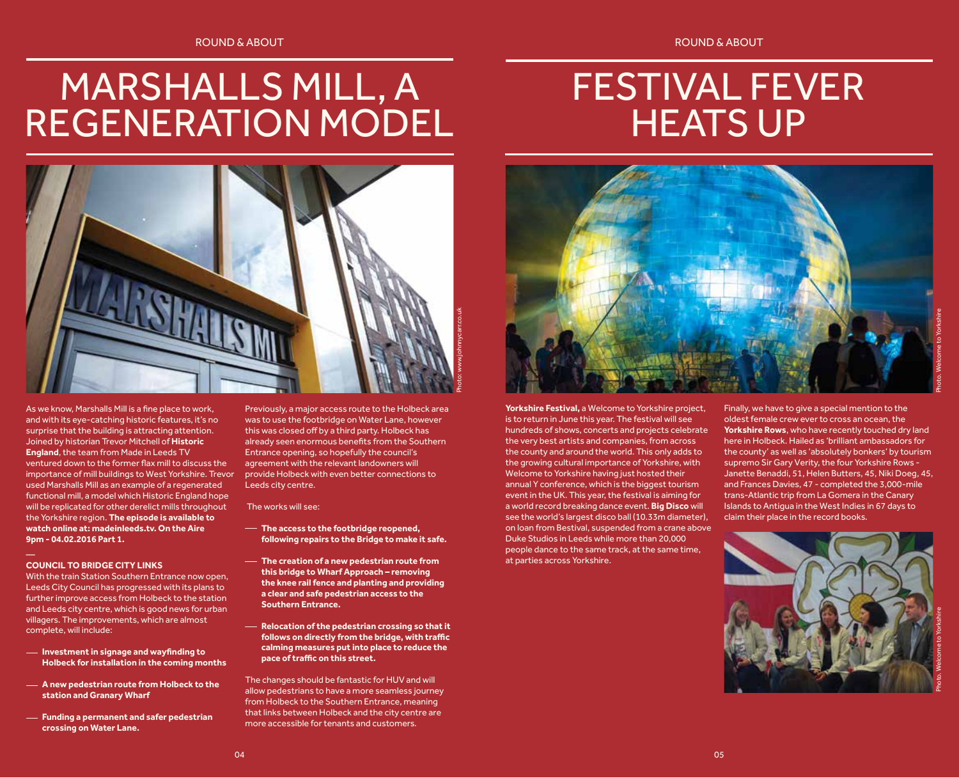### MARSHALLS MILL, A REGENERATION MODEL

### FESTIVAL FEVER HEATS UP



As we know, Marshalls Mill is a fine place to work, and with its eye-catching historic features, it's no surprise that the building is attracting attention. Joined by historian Trevor Mitchell of **Historic England**, the team from Made in Leeds TV ventured down to the former flax mill to discuss the importance of mill buildings to West Yorkshire. Trevor used Marshalls Mill as an example of a regenerated functional mill, a model which Historic England hope will be replicated for other derelict mills throughout the Yorkshire region. **The episode is available to watch online at: madeinleeds.tv. On the Aire 9pm - 04.02.2016 Part 1.**

#### **COUNCIL TO BRIDGE CITY LINKS**

With the train Station Southern Entrance now open, Leeds City Council has progressed with its plans to further improve access from Holbeck to the station and Leeds city centre, which is good news for urban villagers. The improvements, which are almost complete, will include:

- **Investment in signage and wayfinding to Holbeck for installation in the coming months**
- **A new pedestrian route from Holbeck to the station and Granary Wharf**
- **Funding a permanent and safer pedestrian crossing on Water Lane.**

Previously, a major access route to the Holbeck area was to use the footbridge on Water Lane, however this was closed off by a third party. Holbeck has already seen enormous benefits from the Southern Entrance opening, so hopefully the council's agreement with the relevant landowners will provide Holbeck with even better connections to Leeds city centre.

#### The works will see:

- **The access to the footbridge reopened, following repairs to the Bridge to make it safe.**
- **The creation of a new pedestrian route from this bridge to Wharf Approach – removing the knee rail fence and planting and providing a clear and safe pedestrian access to the Southern Entrance.**
- **Relocation of the pedestrian crossing so that it follows on directly from the bridge, with traffic calming measures put into place to reduce the pace of traffic on this street.**

The changes should be fantastic for HUV and will allow pedestrians to have a more seamless journey from Holbeck to the Southern Entrance, meaning that links between Holbeck and the city centre are more accessible for tenants and customers.



**Yorkshire Festival,** a Welcome to Yorkshire project, is to return in June this year. The festival will see hundreds of shows, concerts and projects celebrate the very best artists and companies, from across the county and around the world. This only adds to the growing cultural importance of Yorkshire, with Welcome to Yorkshire having just hosted their annual Y conference, which is the biggest tourism event in the UK. This year, the festival is aiming for a world record breaking dance event. **Big Disco** will see the world's largest disco ball (10.33m diameter), on loan from Bestival, suspended from a crane above Duke Studios in Leeds while more than 20,000 people dance to the same track, at the same time, at parties across Yorkshire.

Finally, we have to give a special mention to the oldest female crew ever to cross an ocean, the **Yorkshire Rows**, who have recently touched dry land here in Holbeck. Hailed as 'brilliant ambassadors for the county' as well as 'absolutely bonkers' by tourism supremo Sir Gary Verity, the four Yorkshire Rows - Janette Benaddi, 51, Helen Butters, 45, Niki Doeg, 45, and Frances Davies, 47 - completed the 3,000-mile trans-Atlantic trip from La Gomera in the Canary Islands to Antigua in the West Indies in 67 days to claim their place in the record books.

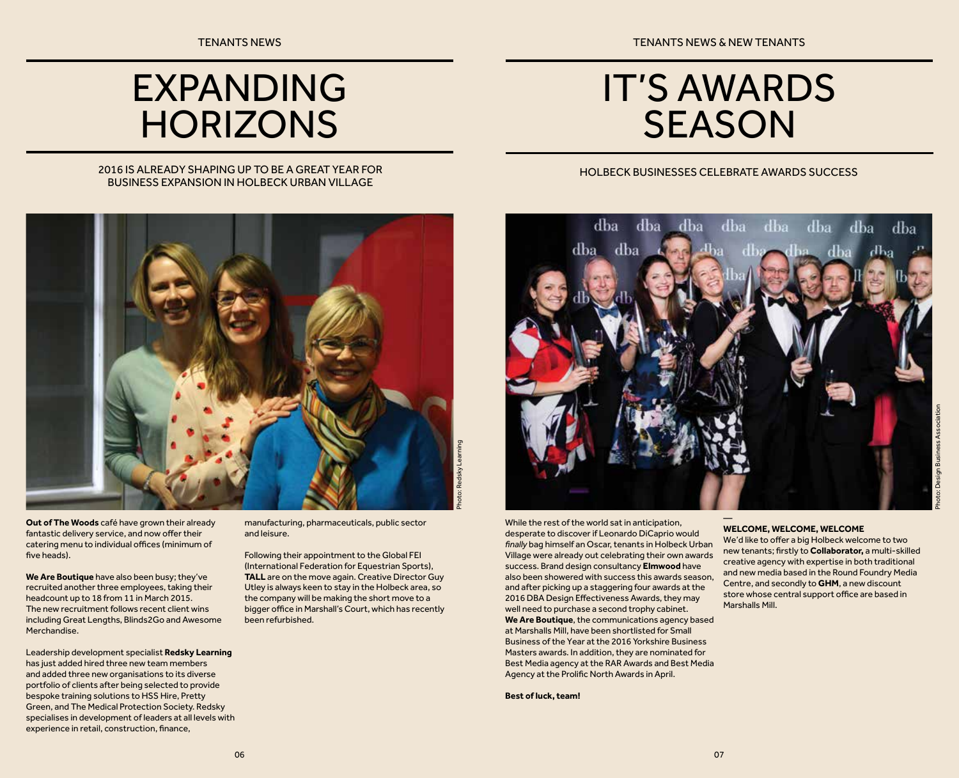TENANTS NEWS TENANTS NEWS TENANTS NEWS ARE ALL THE SERVICES OF TENANTS NEWS ARE ALL THE SERVICES OF TENANTS OF TENANTS OF TENANTS OF TENANTS OF TENANTS OF TENANTS OF TENANTS OF TENANTS OF TENANTS OF TENANTS OF TENANTS OF T

### EXPANDING **HORIZONS**

### IT'S AWARDS **SEASON**

HOLBECK BUSINESSES CELEBRATE AWARDS SUCCESS

### 2016 IS ALREADY SHAPING UP TO BE A GREAT YEAR FOR BUSINESS EXPANSION IN HOLBECK URBAN VILLAGE



**Out of The Woods** café have grown their already fantastic delivery service, and now offer their catering menu to individual offices (minimum of five heads).

**We Are Boutique** have also been busy; they've recruited another three employees, taking their headcount up to 18 from 11 in March 2015. The new recruitment follows recent client wins including Great Lengths, Blinds2Go and Awesome Merchandise.

Leadership development specialist **Redsky Learning**  has just added hired three new team members and added three new organisations to its diverse portfolio of clients after being selected to provide bespoke training solutions to HSS Hire, Pretty Green, and The Medical Protection Society. Redsky specialises in development of leaders at all levels with experience in retail, construction, finance,

manufacturing, pharmaceuticals, public sector and leisure.

Following their appointment to the Global FEI (International Federation for Equestrian Sports), **TALL** are on the move again. Creative Director Guy Utley is always keen to stay in the Holbeck area, so the company will be making the short move to a bigger office in Marshall's Court, which has recently been refurbished.



While the rest of the world sat in anticipation, desperate to discover if Leonardo DiCaprio would *finally* bag himself an Oscar, tenants in Holbeck Urban Village were already out celebrating their own awards success. Brand design consultancy **Elmwood** have also been showered with success this awards season, and after picking up a staggering four awards at the 2016 DBA Design Effectiveness Awards, they may well need to purchase a second trophy cabinet. **We Are Boutique**, the communications agency based at Marshalls Mill, have been shortlisted for Small Business of the Year at the 2016 Yorkshire Business Masters awards. In addition, they are nominated for Best Media agency at the RAR Awards and Best Media Agency at the Prolific North Awards in April.

**Best of luck, team!**

#### — **WELCOME, WELCOME, WELCOME**

We'd like to offer a big Holbeck welcome to two new tenants; firstly to **Collaborator,** a multi-skilled creative agency with expertise in both traditional and new media based in the Round Foundry Media Centre, and secondly to **GHM**, a new discount store whose central support office are based in Marshalls Mill.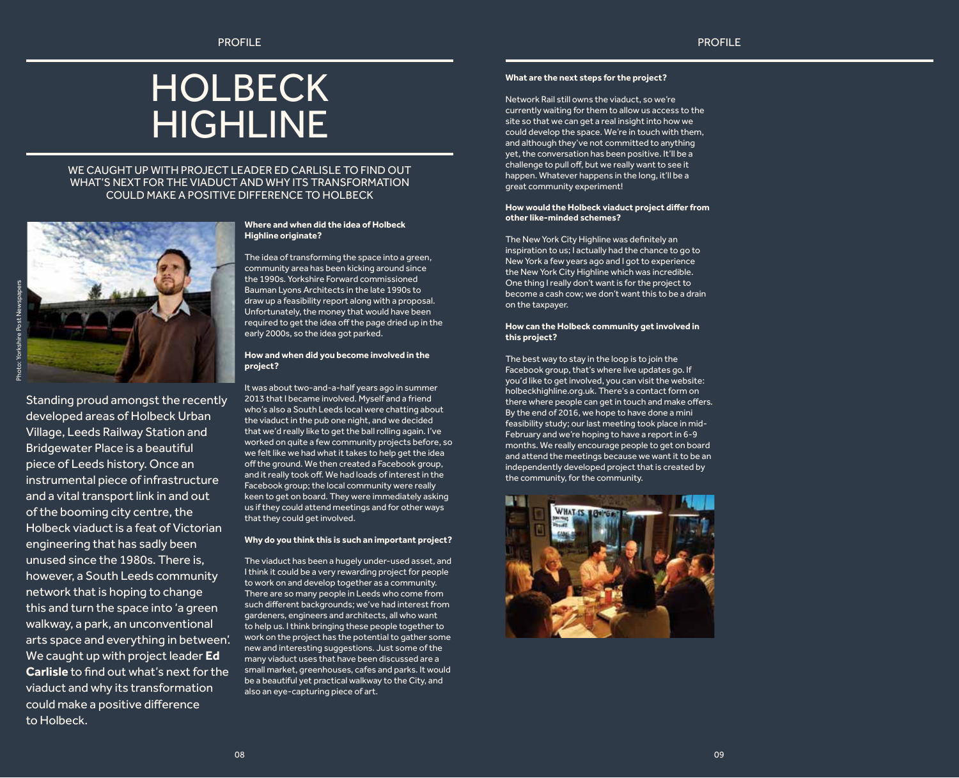### HOLBECK HIGHLINE

### WE CAUGHT UP WITH PROJECT LEADER ED CARLISLE TO FIND OUT WHAT'S NEXT FOR THE VIADUCT AND WHY ITS TRANSFORMATION COULD MAKE A POSITIVE DIFFERENCE TO HOLBECK



Standing proud amongst the recently developed areas of Holbeck Urban Village, Leeds Railway Station and Bridgewater Place is a beautiful piece of Leeds history. Once an instrumental piece of infrastructure and a vital transport link in and out of the booming city centre, the Holbeck viaduct is a feat of Victorian engineering that has sadly been unused since the 1980s. There is, however, a South Leeds community network that is hoping to change this and turn the space into 'a green walkway, a park, an unconventional arts space and everything in between'. We caught up with project leader **Ed Carlisle** to find out what's next for the viaduct and why its transformation could make a positive difference to Holbeck.

#### **Where and when did the idea of Holbeck Highline originate?**

The idea of transforming the space into a green, community area has been kicking around since the 1990s. Yorkshire Forward commissioned Bauman Lyons Architects in the late 1990s to draw up a feasibility report along with a proposal. Unfortunately, the money that would have been required to get the idea off the page dried up in the early 2000s, so the idea got parked.

#### **How and when did you become involved in the project?**

It was about two-and-a-half years ago in summer 2013 that I became involved. Myself and a friend who's also a South Leeds local were chatting about the viaduct in the pub one night, and we decided that we'd really like to get the ball rolling again. I've worked on quite a few community projects before, so we felt like we had what it takes to help get the idea off the ground. We then created a Facebook group, and it really took off. We had loads of interest in the Facebook group; the local community were really keen to get on board. They were immediately asking us if they could attend meetings and for other ways that they could get involved.

### **Why do you think this is such an important project?**

The viaduct has been a hugely under-used asset, and I think it could be a very rewarding project for people to work on and develop together as a community. There are so many people in Leeds who come from such different backgrounds; we've had interest from gardeners, engineers and architects, all who want to help us. I think bringing these people together to work on the project has the potential to gather some new and interesting suggestions. Just some of the many viaduct uses that have been discussed are a small market, greenhouses, cafes and parks. It would be a beautiful yet practical walkway to the City, and also an eye-capturing piece of art.

### **What are the next steps for the project?**

Network Rail still owns the viaduct, so we're currently waiting for them to allow us access to the site so that we can get a real insight into how we could develop the space. We're in touch with them, and although they've not committed to anything yet, the conversation has been positive. It'll be a challenge to pull off, but we really want to see it happen. Whatever happens in the long, it'll be a great community experiment!

#### **How would the Holbeck viaduct project differ from other like-minded schemes?**

The New York City Highline was definitely an inspiration to us; I actually had the chance to go to New York a few years ago and I got to experience the New York City Highline which was incredible. One thing I really don't want is for the project to become a cash cow; we don't want this to be a drain on the taxpayer.

#### **How can the Holbeck community get involved in this project?**

The best way to stay in the loop is to join the Facebook group, that's where live updates go. If you'd like to get involved, you can visit the website: holbeckhighline.org.uk. There's a contact form on there where people can get in touch and make offers. By the end of 2016, we hope to have done a mini feasibility study; our last meeting took place in mid-February and we're hoping to have a report in 6-9 months. We really encourage people to get on board and attend the meetings because we want it to be an independently developed project that is created by the community, for the community.